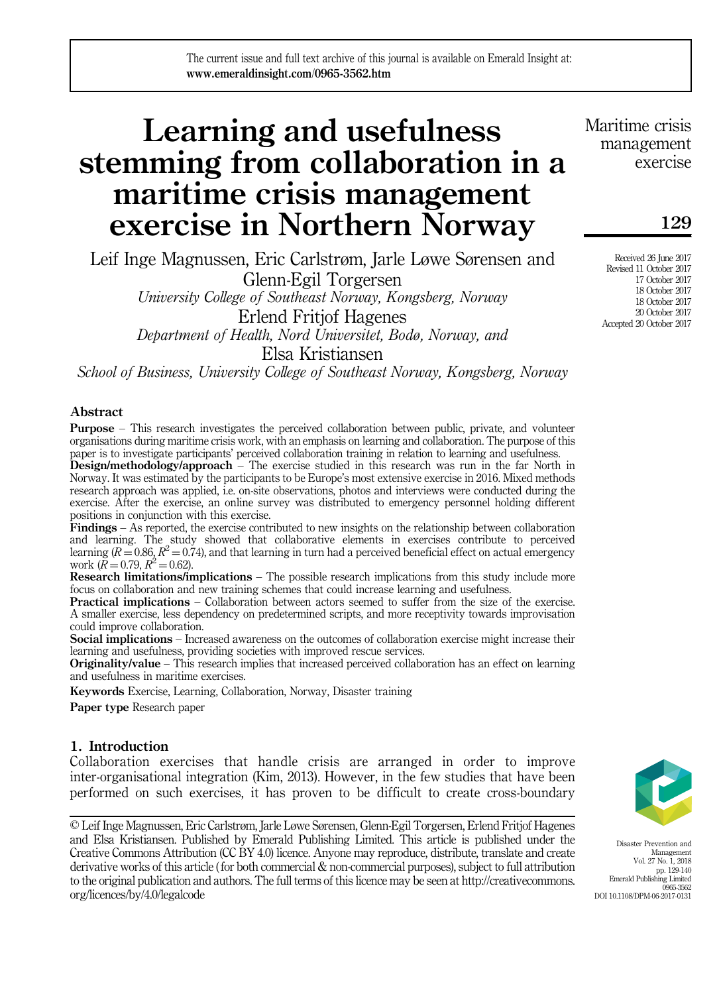The current issue and full text archive of this journal is available on Emerald Insight at: www.emeraldinsight.com/0965-3562.htm

# Learning and usefulness stemming from collaboration in a maritime crisis management exercise in Northern Norway

Leif Inge Magnussen, Eric Carlstrøm, Jarle Løwe Sørensen and Glenn-Egil Torgersen University College of Southeast Norway, Kongsberg, Norway Erlend Fritjof Hagenes

> Department of Health, Nord Universitet, Bodø, Norway, and Elsa Kristiansen

School of Business, University College of Southeast Norway, Kongsberg, Norway

#### Abstract

Purpose – This research investigates the perceived collaboration between public, private, and volunteer organisations during maritime crisis work, with an emphasis on learning and collaboration. The purpose of this paper is to investigate participants' perceived collaboration training in relation to learning and usefulness.

Design/methodology/approach – The exercise studied in this research was run in the far North in Norway. It was estimated by the participants to be Europe's most extensive exercise in 2016. Mixed methods research approach was applied, i.e. on-site observations, photos and interviews were conducted during the exercise. After the exercise, an online survey was distributed to emergency personnel holding different positions in conjunction with this exercise.

Findings – As reported, the exercise contributed to new insights on the relationship between collaboration and learning. The study showed that collaborative elements in exercises contribute to perceived learning  $(R = 0.86, R^2 = 0.74)$ , and that learning in turn had a perceived beneficial effect on actual emergency work  $(R = 0.79, R^2 = 0.62)$ .

Research limitations/implications – The possible research implications from this study include more focus on collaboration and new training schemes that could increase learning and usefulness.

Practical implications – Collaboration between actors seemed to suffer from the size of the exercise. A smaller exercise, less dependency on predetermined scripts, and more receptivity towards improvisation could improve collaboration.

Social implications – Increased awareness on the outcomes of collaboration exercise might increase their learning and usefulness, providing societies with improved rescue services.

Originality/value – This research implies that increased perceived collaboration has an effect on learning and usefulness in maritime exercises.

Keywords Exercise, Learning, Collaboration, Norway, Disaster training

Paper type Research paper

#### 1. Introduction

Collaboration exercises that handle crisis are arranged in order to improve inter-organisational integration (Kim, 2013). However, in the few studies that have been performed on such exercises, it has proven to be difficult to create cross-boundary

© Leif Inge Magnussen, Eric Carlstrøm, Jarle Løwe Sørensen, Glenn-Egil Torgersen, Erlend Fritjof Hagenes and Elsa Kristiansen. Published by Emerald Publishing Limited. This article is published under the Creative Commons Attribution (CC BY 4.0) licence. Anyone may reproduce, distribute, translate and create derivative works of this article (for both commercial & non-commercial purposes), subject to full attribution to the original publication and authors. The full terms of this licence may be seen at [http://creativecommons.](http://creativecommons.org/licences/by/4.0/legalcode) [org/licences/by/4.0/legalcode](http://creativecommons.org/licences/by/4.0/legalcode)



Disaster Prevention and Management Vol. 27 No. 1, 2018 pp. 129-140 Emerald Publishing Limited 0965-3562 DOI 10.1108/DPM-06-2017-0131

Maritime crisis management exercise

129

Received 26 June 2017 Revised 11 October 2017 17 October 2017 18 October 2017 18 October 2017 20 October 2017 Accepted 20 October 2017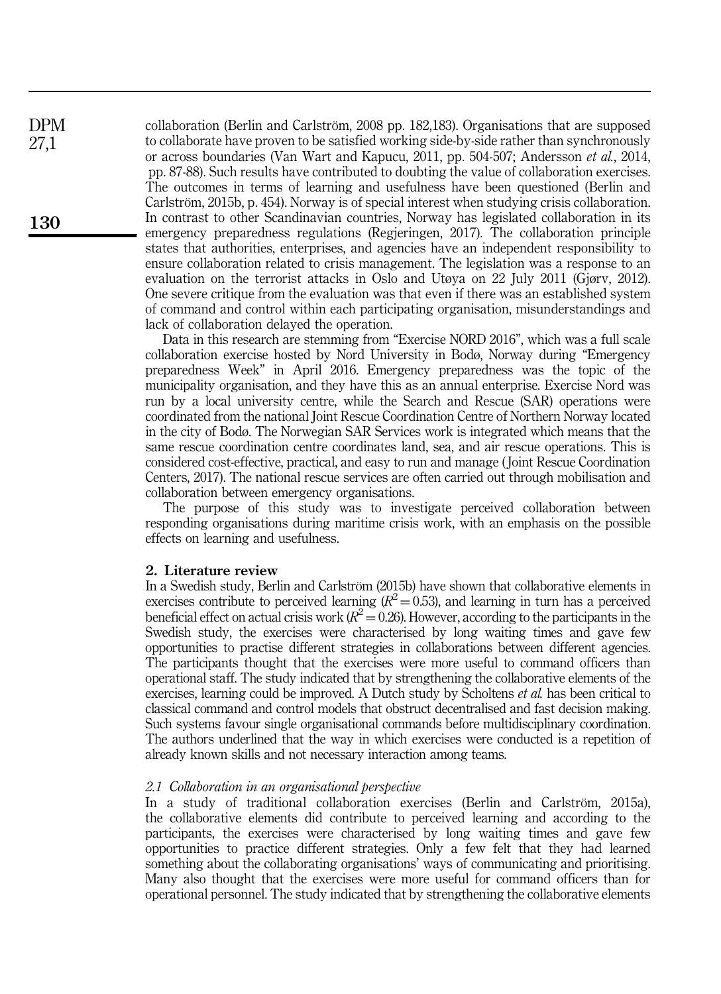collaboration (Berlin and Carlström, 2008 pp. 182,183). Organisations that are supposed to collaborate have proven to be satisfied working side-by-side rather than synchronously or across boundaries (Van Wart and Kapucu, 2011, pp. 504-507; Andersson et al., 2014, pp. 87-88). Such results have contributed to doubting the value of collaboration exercises. The outcomes in terms of learning and usefulness have been questioned (Berlin and Carlström, 2015b, p. 454). Norway is of special interest when studying crisis collaboration. In contrast to other Scandinavian countries, Norway has legislated collaboration in its emergency preparedness regulations (Regjeringen, 2017). The collaboration principle states that authorities, enterprises, and agencies have an independent responsibility to ensure collaboration related to crisis management. The legislation was a response to an evaluation on the terrorist attacks in Oslo and Utøya on 22 July 2011 (Gjørv, 2012). One severe critique from the evaluation was that even if there was an established system of command and control within each participating organisation, misunderstandings and lack of collaboration delayed the operation.

Data in this research are stemming from "Exercise NORD 2016", which was a full scale collaboration exercise hosted by Nord University in Bodø, Norway during "Emergency preparedness Week" in April 2016. Emergency preparedness was the topic of the municipality organisation, and they have this as an annual enterprise. Exercise Nord was run by a local university centre, while the Search and Rescue (SAR) operations were coordinated from the national Joint Rescue Coordination Centre of Northern Norway located in the city of Bodø. The Norwegian SAR Services work is integrated which means that the same rescue coordination centre coordinates land, sea, and air rescue operations. This is considered cost-effective, practical, and easy to run and manage ( Joint Rescue Coordination Centers, 2017). The national rescue services are often carried out through mobilisation and collaboration between emergency organisations.

The purpose of this study was to investigate perceived collaboration between responding organisations during maritime crisis work, with an emphasis on the possible effects on learning and usefulness.

#### 2. Literature review

In a Swedish study, Berlin and Carlström (2015b) have shown that collaborative elements in exercises contribute to perceived learning ( $R^2 = 0.53$ ), and learning in turn has a perceived beneficial effect on actual crisis work ( $R^2 = 0.26$ ). However, according to the participants in the Swedish study, the exercises were characterised by long waiting times and gave few opportunities to practise different strategies in collaborations between different agencies. The participants thought that the exercises were more useful to command officers than operational staff. The study indicated that by strengthening the collaborative elements of the exercises, learning could be improved. A Dutch study by Scholtens *et al.* has been critical to classical command and control models that obstruct decentralised and fast decision making. Such systems favour single organisational commands before multidisciplinary coordination. The authors underlined that the way in which exercises were conducted is a repetition of already known skills and not necessary interaction among teams.

#### 2.1 Collaboration in an organisational perspective

In a study of traditional collaboration exercises (Berlin and Carlström, 2015a), the collaborative elements did contribute to perceived learning and according to the participants, the exercises were characterised by long waiting times and gave few opportunities to practice different strategies. Only a few felt that they had learned something about the collaborating organisations' ways of communicating and prioritising. Many also thought that the exercises were more useful for command officers than for operational personnel. The study indicated that by strengthening the collaborative elements

DPM 27,1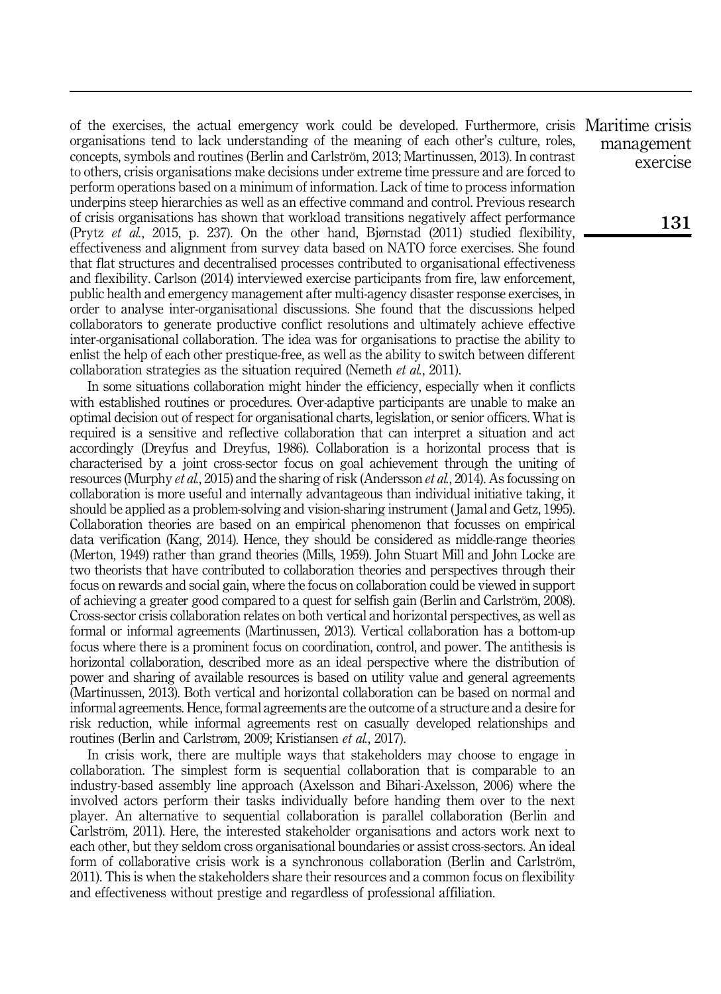of the exercises, the actual emergency work could be developed. Furthermore, crisis Maritime crisis organisations tend to lack understanding of the meaning of each other's culture, roles, concepts, symbols and routines (Berlin and Carlström, 2013; Martinussen, 2013). In contrast to others, crisis organisations make decisions under extreme time pressure and are forced to perform operations based on a minimum of information. Lack of time to process information underpins steep hierarchies as well as an effective command and control. Previous research of crisis organisations has shown that workload transitions negatively affect performance (Prytz et al., 2015, p. 237). On the other hand, Bjørnstad (2011) studied flexibility, effectiveness and alignment from survey data based on NATO force exercises. She found that flat structures and decentralised processes contributed to organisational effectiveness and flexibility. Carlson (2014) interviewed exercise participants from fire, law enforcement, public health and emergency management after multi-agency disaster response exercises, in order to analyse inter-organisational discussions. She found that the discussions helped collaborators to generate productive conflict resolutions and ultimately achieve effective inter-organisational collaboration. The idea was for organisations to practise the ability to enlist the help of each other prestique-free, as well as the ability to switch between different collaboration strategies as the situation required (Nemeth et al., 2011).

In some situations collaboration might hinder the efficiency, especially when it conflicts with established routines or procedures. Over-adaptive participants are unable to make an optimal decision out of respect for organisational charts, legislation, or senior officers. What is required is a sensitive and reflective collaboration that can interpret a situation and act accordingly (Dreyfus and Dreyfus, 1986). Collaboration is a horizontal process that is characterised by a joint cross-sector focus on goal achievement through the uniting of resources (Murphy *et al.*, 2015) and the sharing of risk (Andersson *et al.*, 2014). As focussing on collaboration is more useful and internally advantageous than individual initiative taking, it should be applied as a problem-solving and vision-sharing instrument ( Jamal and Getz, 1995). Collaboration theories are based on an empirical phenomenon that focusses on empirical data verification (Kang, 2014). Hence, they should be considered as middle-range theories (Merton, 1949) rather than grand theories (Mills, 1959). John Stuart Mill and John Locke are two theorists that have contributed to collaboration theories and perspectives through their focus on rewards and social gain, where the focus on collaboration could be viewed in support of achieving a greater good compared to a quest for selfish gain (Berlin and Carlström, 2008). Cross-sector crisis collaboration relates on both vertical and horizontal perspectives, as well as formal or informal agreements (Martinussen, 2013). Vertical collaboration has a bottom-up focus where there is a prominent focus on coordination, control, and power. The antithesis is horizontal collaboration, described more as an ideal perspective where the distribution of power and sharing of available resources is based on utility value and general agreements (Martinussen, 2013). Both vertical and horizontal collaboration can be based on normal and informal agreements. Hence, formal agreements are the outcome of a structure and a desire for risk reduction, while informal agreements rest on casually developed relationships and routines (Berlin and Carlstrøm, 2009; Kristiansen et al., 2017).

In crisis work, there are multiple ways that stakeholders may choose to engage in collaboration. The simplest form is sequential collaboration that is comparable to an industry-based assembly line approach (Axelsson and Bihari-Axelsson, 2006) where the involved actors perform their tasks individually before handing them over to the next player. An alternative to sequential collaboration is parallel collaboration (Berlin and Carlström, 2011). Here, the interested stakeholder organisations and actors work next to each other, but they seldom cross organisational boundaries or assist cross-sectors. An ideal form of collaborative crisis work is a synchronous collaboration (Berlin and Carlström, 2011). This is when the stakeholders share their resources and a common focus on flexibility and effectiveness without prestige and regardless of professional affiliation.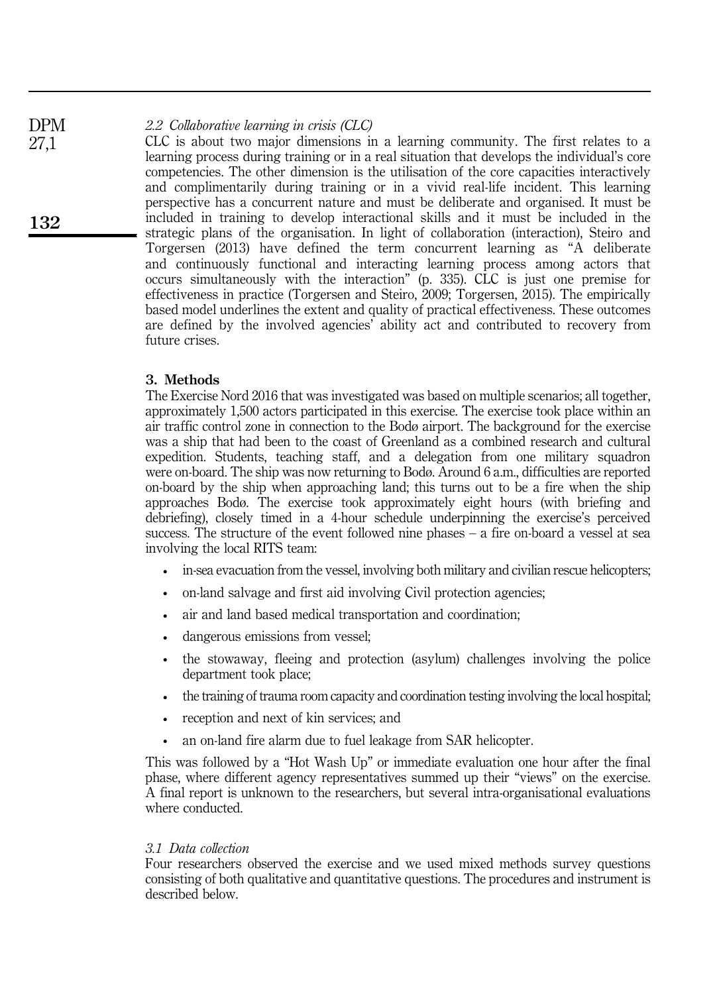#### 2.2 Collaborative learning in crisis (CLC) DPM

CLC is about two major dimensions in a learning community. The first relates to a learning process during training or in a real situation that develops the individual's core competencies. The other dimension is the utilisation of the core capacities interactively and complimentarily during training or in a vivid real-life incident. This learning perspective has a concurrent nature and must be deliberate and organised. It must be included in training to develop interactional skills and it must be included in the strategic plans of the organisation. In light of collaboration (interaction), Steiro and Torgersen (2013) have defined the term concurrent learning as "A deliberate and continuously functional and interacting learning process among actors that occurs simultaneously with the interaction" (p. 335). CLC is just one premise for effectiveness in practice (Torgersen and Steiro, 2009; Torgersen, 2015). The empirically based model underlines the extent and quality of practical effectiveness. These outcomes are defined by the involved agencies' ability act and contributed to recovery from future crises

# 3. Methods

The Exercise Nord 2016 that was investigated was based on multiple scenarios; all together, approximately 1,500 actors participated in this exercise. The exercise took place within an air traffic control zone in connection to the Bodø airport. The background for the exercise was a ship that had been to the coast of Greenland as a combined research and cultural expedition. Students, teaching staff, and a delegation from one military squadron were on-board. The ship was now returning to Bodø. Around 6 a.m., difficulties are reported on-board by the ship when approaching land; this turns out to be a fire when the ship approaches Bodø. The exercise took approximately eight hours (with briefing and debriefing), closely timed in a 4-hour schedule underpinning the exercise's perceived success. The structure of the event followed nine phases – a fire on-board a vessel at sea involving the local RITS team:

- in-sea evacuation from the vessel, involving both military and civilian rescue helicopters;
- on-land salvage and first aid involving Civil protection agencies;
- air and land based medical transportation and coordination;
- dangerous emissions from vessel;
- the stowaway, fleeing and protection (asylum) challenges involving the police department took place;
- the training of trauma room capacity and coordination testing involving the local hospital;
- reception and next of kin services; and
- an on-land fire alarm due to fuel leakage from SAR helicopter.

This was followed by a "Hot Wash Up" or immediate evaluation one hour after the final phase, where different agency representatives summed up their "views" on the exercise. A final report is unknown to the researchers, but several intra-organisational evaluations where conducted.

## 3.1 Data collection

Four researchers observed the exercise and we used mixed methods survey questions consisting of both qualitative and quantitative questions. The procedures and instrument is described below.

27,1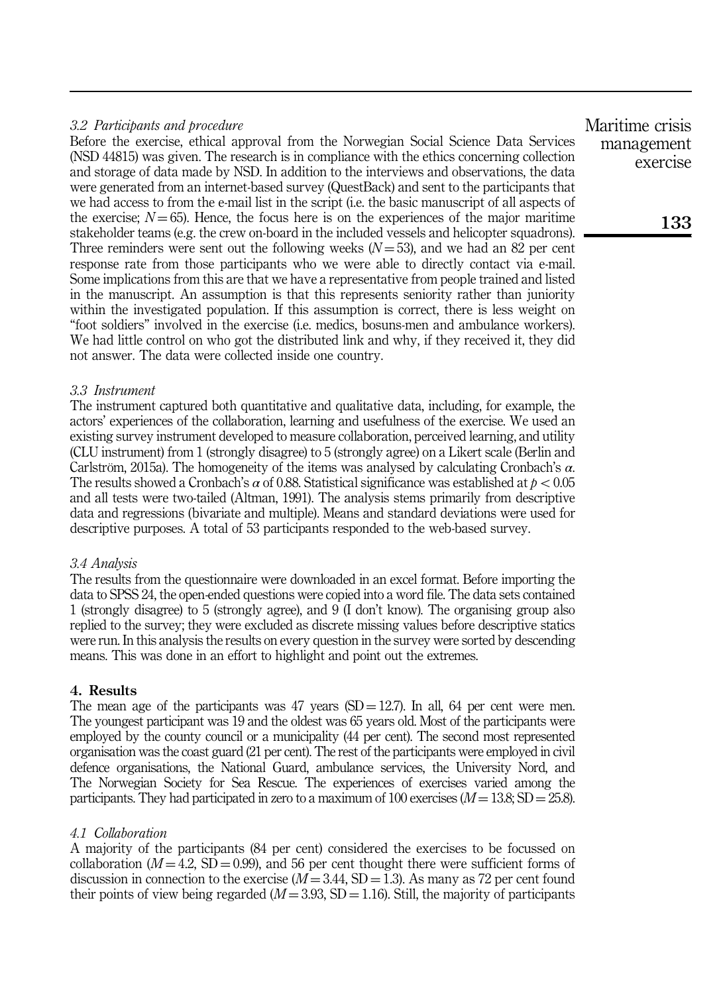## 3.2 Participants and procedure

Before the exercise, ethical approval from the Norwegian Social Science Data Services (NSD 44815) was given. The research is in compliance with the ethics concerning collection and storage of data made by NSD. In addition to the interviews and observations, the data were generated from an internet-based survey (QuestBack) and sent to the participants that we had access to from the e-mail list in the script (i.e. the basic manuscript of all aspects of the exercise;  $N = 65$ ). Hence, the focus here is on the experiences of the major maritime stakeholder teams (e.g. the crew on-board in the included vessels and helicopter squadrons). Three reminders were sent out the following weeks  $(N = 53)$ , and we had an 82 per cent response rate from those participants who we were able to directly contact via e-mail. Some implications from this are that we have a representative from people trained and listed in the manuscript. An assumption is that this represents seniority rather than juniority within the investigated population. If this assumption is correct, there is less weight on "foot soldiers" involved in the exercise (i.e. medics, bosuns-men and ambulance workers). We had little control on who got the distributed link and why, if they received it, they did not answer. The data were collected inside one country.

#### 3.3 Instrument

The instrument captured both quantitative and qualitative data, including, for example, the actors' experiences of the collaboration, learning and usefulness of the exercise. We used an existing survey instrument developed to measure collaboration, perceived learning, and utility (CLU instrument) from 1 (strongly disagree) to 5 (strongly agree) on a Likert scale (Berlin and Carlström, 2015a). The homogeneity of the items was analysed by calculating Cronbach's  $\alpha$ . The results showed a Cronbach's  $\alpha$  of 0.88. Statistical significance was established at  $p < 0.05$ and all tests were two-tailed (Altman, 1991). The analysis stems primarily from descriptive data and regressions (bivariate and multiple). Means and standard deviations were used for descriptive purposes. A total of 53 participants responded to the web-based survey.

#### 3.4 Analysis

The results from the questionnaire were downloaded in an excel format. Before importing the data to SPSS 24, the open-ended questions were copied into a word file. The data sets contained 1 (strongly disagree) to 5 (strongly agree), and 9 (I don't know). The organising group also replied to the survey; they were excluded as discrete missing values before descriptive statics were run. In this analysis the results on every question in the survey were sorted by descending means. This was done in an effort to highlight and point out the extremes.

#### 4. Results

The mean age of the participants was  $47$  years  $(SD = 12.7)$ . In all, 64 per cent were men. The youngest participant was 19 and the oldest was 65 years old. Most of the participants were employed by the county council or a municipality (44 per cent). The second most represented organisation was the coast guard (21 per cent). The rest of the participants were employed in civil defence organisations, the National Guard, ambulance services, the University Nord, and The Norwegian Society for Sea Rescue. The experiences of exercises varied among the participants. They had participated in zero to a maximum of 100 exercises  $(M = 13.8; SD = 25.8)$ .

## 4.1 Collaboration

A majority of the participants (84 per cent) considered the exercises to be focussed on collaboration ( $M = 4.2$ , SD = 0.99), and 56 per cent thought there were sufficient forms of discussion in connection to the exercise  $(M = 3.44, SD = 1.3)$ . As many as 72 per cent found their points of view being regarded  $(M = 3.93, SD = 1.16)$ . Still, the majority of participants

Maritime crisis management exercise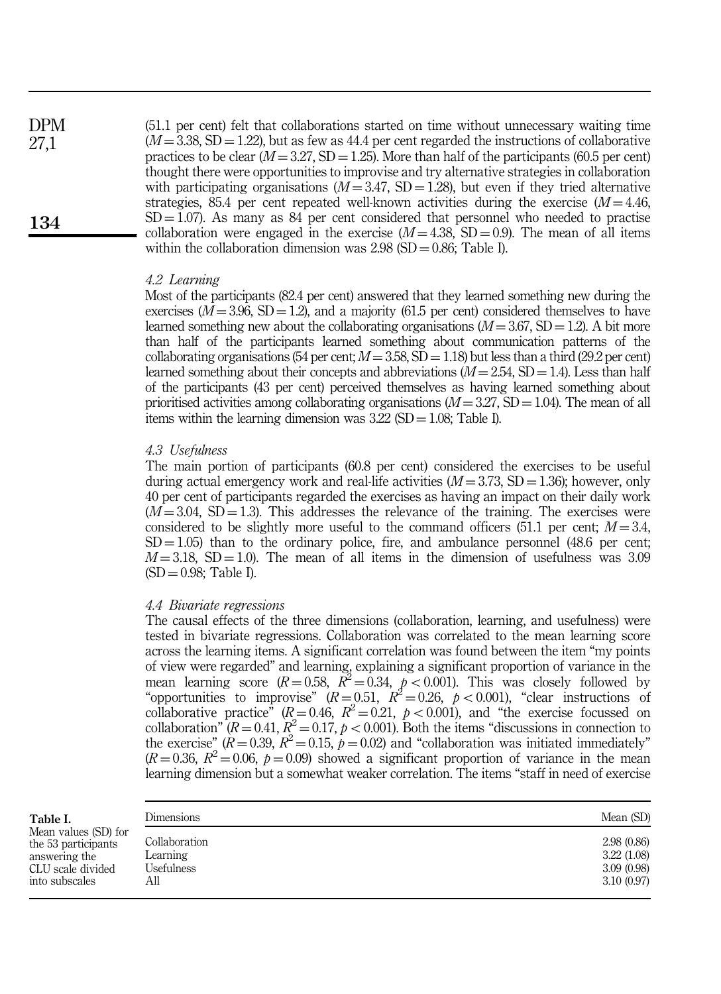(51.1 per cent) felt that collaborations started on time without unnecessary waiting time  $(M = 3.38, SD = 1.22)$ , but as few as 44.4 per cent regarded the instructions of collaborative practices to be clear ( $M = 3.27$ , SD = 1.25). More than half of the participants (60.5 per cent) thought there were opportunities to improvise and try alternative strategies in collaboration with participating organisations  $(M = 3.47, SD = 1.28)$ , but even if they tried alternative strategies, 85.4 per cent repeated well-known activities during the exercise  $(M = 4.46$ ,  $SD = 1.07$ . As many as 84 per cent considered that personnel who needed to practise collaboration were engaged in the exercise  $(M = 4.38, SD = 0.9)$ . The mean of all items within the collaboration dimension was  $2.98 \text{ (SD} = 0.86$ ; Table I). 134 DPM 27,1

#### 4.2 Learning

Most of the participants (82.4 per cent) answered that they learned something new during the exercises  $(M = 3.96, SD = 1.2)$ , and a majority (61.5 per cent) considered themselves to have learned something new about the collaborating organisations  $(M = 3.67, SD = 1.2)$ . A bit more than half of the participants learned something about communication patterns of the collaborating organisations (54 per cent;  $M = 3.58$ , SD = 1.18) but less than a third (29.2 per cent) learned something about their concepts and abbreviations  $(M = 2.54, SD = 1.4)$ . Less than half of the participants (43 per cent) perceived themselves as having learned something about prioritised activities among collaborating organisations  $(M = 3.27, SD = 1.04)$ . The mean of all items within the learning dimension was  $3.22 \text{ (SD} = 1.08$ ; Table I).

#### 4.3 Usefulness

The main portion of participants (60.8 per cent) considered the exercises to be useful during actual emergency work and real-life activities  $(M = 3.73, SD = 1.36)$ ; however, only 40 per cent of participants regarded the exercises as having an impact on their daily work  $(M = 3.04, SD = 1.3)$ . This addresses the relevance of the training. The exercises were considered to be slightly more useful to the command officers (51.1 per cent;  $M = 3.4$ ,  $SD = 1.05$ ) than to the ordinary police, fire, and ambulance personnel (48.6 per cent;  $M = 3.18$ , SD = 1.0). The mean of all items in the dimension of usefulness was 3.09  $(SD = 0.98;$  Table I).

#### 4.4 Bivariate regressions

The causal effects of the three dimensions (collaboration, learning, and usefulness) were tested in bivariate regressions. Collaboration was correlated to the mean learning score across the learning items. A significant correlation was found between the item "my points of view were regarded" and learning, explaining a significant proportion of variance in the mean learning score  $(R = 0.58, \overline{R^2} = 0.34, \overline{p} < 0.001)$ . This was closely followed by "opportunities to improvise"  $(R=0.51, R^2=0.26, p<0.001)$ , "clear instructions of collaborative practice<sup> $\dot{r}$ </sup> ( $R = 0.46$ ,  $R^2 = 0.21$ ,  $p < 0.001$ ), and "the exercise focussed on collaboration"  $(R = 0.41, R^2 = 0.17, p < 0.001)$ . Both the items "discussions in connection to the exercise" ( $R = 0.39$ ,  $R^2 = 0.15$ ,  $p = 0.02$ ) and "collaboration was initiated immediately"  $(R = 0.36, R^2 = 0.06, p = 0.09)$  showed a significant proportion of variance in the mean learning dimension but a somewhat weaker correlation. The items "staff in need of exercise

| Table I.                                                                                            | Dimensions                                     | Mean (SD)                                            |
|-----------------------------------------------------------------------------------------------------|------------------------------------------------|------------------------------------------------------|
| Mean values (SD) for<br>the 53 participants<br>answering the<br>CLU scale divided<br>into subscales | Collaboration<br>Learning<br>Usefulness<br>All | 2.98(0.86)<br>3.22(1.08)<br>3.09(0.98)<br>3.10(0.97) |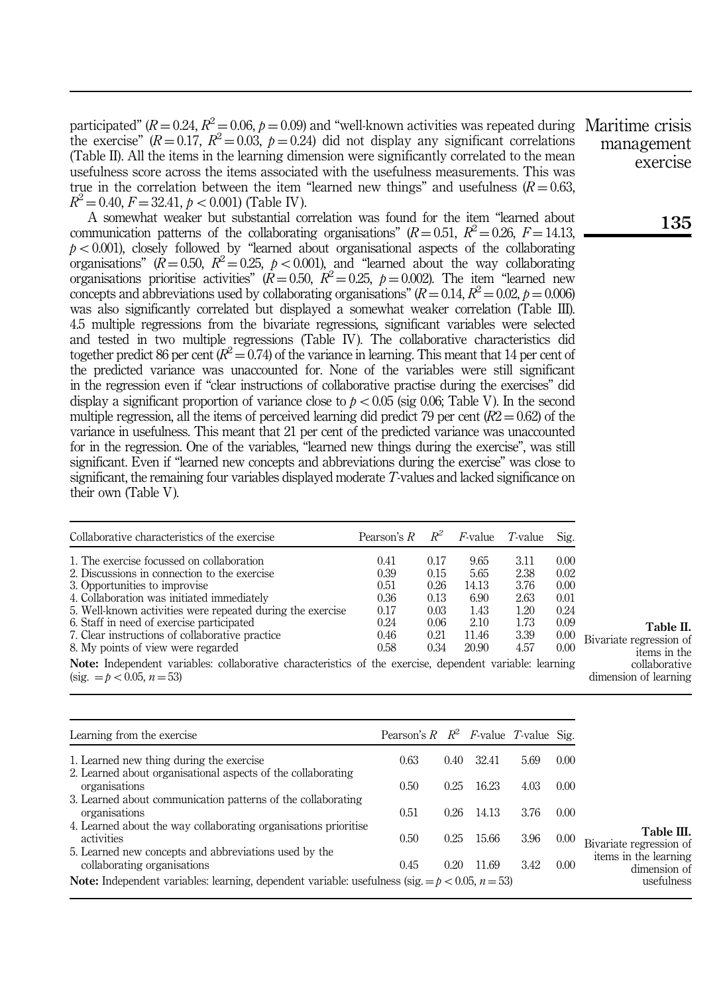participated"  $(R = 0.24, R^2 = 0.06, p = 0.09)$  and "well-known activities was repeated during Maritime crisis the exercise"  $(R = 0.17, R^2 = 0.03, p = 0.24)$  did not display any significant correlations (Table II). All the items in the learning dimension were significantly correlated to the mean usefulness score across the items associated with the usefulness measurements. This was true in the correlation between the item "learned new things" and usefulness  $(R = 0.63,$  $R^2 = 0.40$ ,  $F = 32.41$ ,  $p < 0.001$ ) (Table IV).

A somewhat weaker but substantial correlation was found for the item "learned about communication patterns of the collaborating organisations"  $(R = 0.51, R^2 = 0.26, F = 14.13,$  $p < 0.001$ ), closely followed by "learned about organisational aspects of the collaborating organisations"  $(R = 0.50, R^2 = 0.25, p < 0.001)$ , and "learned about the way collaborating organisations prioritise activities"  $(\hat{R} = 0.50, \ \hat{R}^2 = 0.25, \ p = 0.002)$ . The item "learned new concepts and abbreviations used by collaborating organisations" ( $R = 0.14$ ,  $R^2 = 0.02$ ,  $p = 0.006$ ) was also significantly correlated but displayed a somewhat weaker correlation (Table III). 4.5 multiple regressions from the bivariate regressions, significant variables were selected and tested in two multiple regressions (Table IV). The collaborative characteristics did together predict 86 per cent ( $R^2 = 0.74$ ) of the variance in learning. This meant that 14 per cent of the predicted variance was unaccounted for. None of the variables were still significant in the regression even if "clear instructions of collaborative practise during the exercises" did display a significant proportion of variance close to  $p < 0.05$  (sig 0.06; Table V). In the second multiple regression, all the items of perceived learning did predict 79 per cent  $(R2 = 0.62)$  of the variance in usefulness. This meant that 21 per cent of the predicted variance was unaccounted for in the regression. One of the variables, "learned new things during the exercise", was still significant. Even if "learned new concepts and abbreviations during the exercise" was close to significant, the remaining four variables displayed moderate T-values and lacked significance on their own (Table V).

| Collaborative characteristics of the exercise                                                                                                                                                                                                                                                                                                                                | Pearson's $R$ $R^2$                                          |                                                              | <i>F</i> -value                                                 | <i>T</i> -value                                              | Sig.                                                         |
|------------------------------------------------------------------------------------------------------------------------------------------------------------------------------------------------------------------------------------------------------------------------------------------------------------------------------------------------------------------------------|--------------------------------------------------------------|--------------------------------------------------------------|-----------------------------------------------------------------|--------------------------------------------------------------|--------------------------------------------------------------|
| 1. The exercise focussed on collaboration<br>2. Discussions in connection to the exercise<br>3. Opportunities to improvise<br>4. Collaboration was initiated immediately<br>5. Well-known activities were repeated during the exercise<br>6. Staff in need of exercise participated<br>7. Clear instructions of collaborative practice<br>8. My points of view were regarded | 0.41<br>0.39<br>0.51<br>0.36<br>0.17<br>0.24<br>0.46<br>0.58 | 0.17<br>0.15<br>0.26<br>0.13<br>0.03<br>0.06<br>0.21<br>0.34 | 9.65<br>5.65<br>14.13<br>6.90<br>1.43<br>2.10<br>11.46<br>20.90 | 3.11<br>2.38<br>3.76<br>2.63<br>1 20<br>1.73<br>3.39<br>4.57 | 0.00<br>0.02<br>0.00<br>0.01<br>0.24<br>0.09<br>0.00<br>0.00 |
| Note: Independent variables: collaborative characteristics of the exercise, dependent variable: learning<br>$(sig. = p < 0.05, n = 53)$                                                                                                                                                                                                                                      |                                                              |                                                              |                                                                 |                                                              |                                                              |

Table II. Bivariate regression of items in the collaborative dimension of learning

| Learning from the exercise                                                                                   | Pearson's $R$ $R^2$ F-value T-value Sig. |      |       |      |      |                                                                  |
|--------------------------------------------------------------------------------------------------------------|------------------------------------------|------|-------|------|------|------------------------------------------------------------------|
| 1. Learned new thing during the exercise                                                                     | 0.63                                     | 0.40 | 32.41 | 5.69 | 0.00 |                                                                  |
| 2. Learned about organisational aspects of the collaborating<br>organisations                                | 0.50                                     | 0.25 | 16.23 | 4.03 | 0.00 |                                                                  |
| 3. Learned about communication patterns of the collaborating<br>organisations                                | 0.51                                     | 0.26 | 14.13 | 3.76 | 0.00 |                                                                  |
| 4. Learned about the way collaborating organisations prioritise<br>activities                                | 0.50                                     | 0.25 | 15.66 | 3.96 | 0.00 | Table III.                                                       |
| 5. Learned new concepts and abbreviations used by the<br>collaborating organisations                         | 0.45                                     | 0.20 | 11.69 | 3.42 | 0.00 | Bivariate regression of<br>items in the learning<br>dimension of |
| <b>Note:</b> Independent variables: learning, dependent variable: usefulness (sig. $= p < 0.05$ , $n = 53$ ) |                                          |      |       |      |      | usefulness                                                       |

135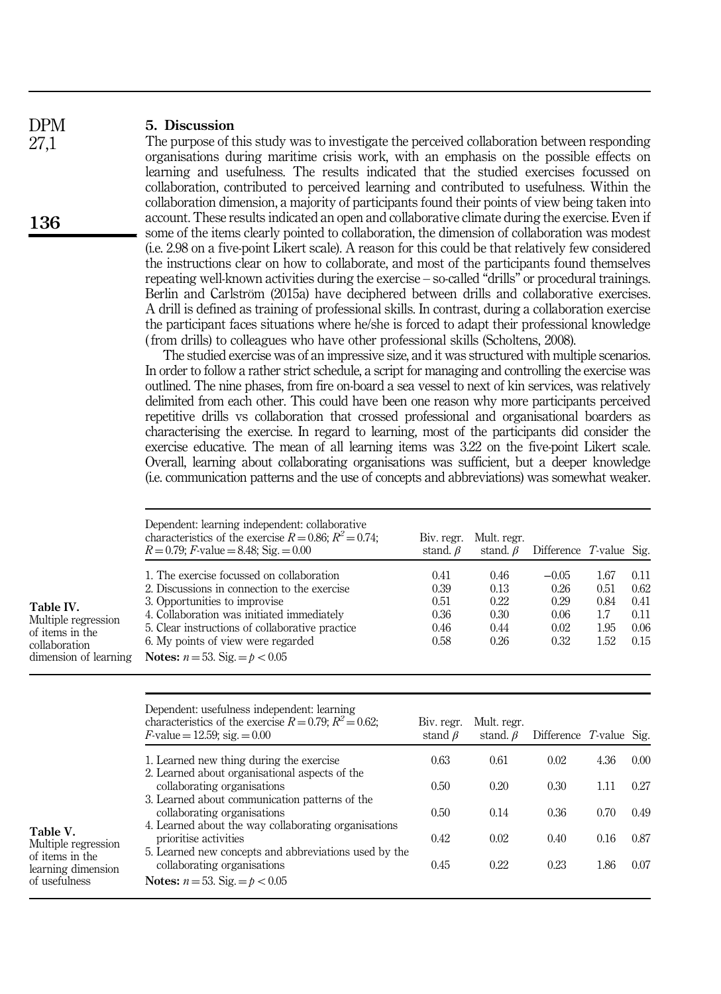#### 5. Discussion DPM

136

27,1

The purpose of this study was to investigate the perceived collaboration between responding organisations during maritime crisis work, with an emphasis on the possible effects on learning and usefulness. The results indicated that the studied exercises focussed on collaboration, contributed to perceived learning and contributed to usefulness. Within the collaboration dimension, a majority of participants found their points of view being taken into account. These results indicated an open and collaborative climate during the exercise. Even if some of the items clearly pointed to collaboration, the dimension of collaboration was modest (i.e. 2.98 on a five-point Likert scale). A reason for this could be that relatively few considered the instructions clear on how to collaborate, and most of the participants found themselves repeating well-known activities during the exercise – so-called "drills" or procedural trainings. Berlin and Carlström (2015a) have deciphered between drills and collaborative exercises. A drill is defined as training of professional skills. In contrast, during a collaboration exercise the participant faces situations where he/she is forced to adapt their professional knowledge ( from drills) to colleagues who have other professional skills (Scholtens, 2008).

The studied exercise was of an impressive size, and it was structured with multiple scenarios. In order to follow a rather strict schedule, a script for managing and controlling the exercise was outlined. The nine phases, from fire on-board a sea vessel to next of kin services, was relatively delimited from each other. This could have been one reason why more participants perceived repetitive drills vs collaboration that crossed professional and organisational boarders as characterising the exercise. In regard to learning, most of the participants did consider the exercise educative. The mean of all learning items was 3.22 on the five-point Likert scale. Overall, learning about collaborating organisations was sufficient, but a deeper knowledge (i.e. communication patterns and the use of concepts and abbreviations) was somewhat weaker.

|                                                                                               | Dependent: learning independent: collaborative<br>characteristics of the exercise $R = 0.86$ ; $R^2 = 0.74$ ;<br>$R = 0.79$ ; F-value = 8.48; Sig. = 0.00                                                                                                                                                       | Biv. regr.<br>stand. $\beta$                 | Mult. regr.<br>stand. $\beta$                | Difference <i>T</i> -value Sig.                 |                                             |                                              |
|-----------------------------------------------------------------------------------------------|-----------------------------------------------------------------------------------------------------------------------------------------------------------------------------------------------------------------------------------------------------------------------------------------------------------------|----------------------------------------------|----------------------------------------------|-------------------------------------------------|---------------------------------------------|----------------------------------------------|
| Table IV.<br>Multiple regression<br>of items in the<br>collaboration<br>dimension of learning | 1. The exercise focussed on collaboration<br>2. Discussions in connection to the exercise<br>3. Opportunities to improvise<br>4. Collaboration was initiated immediately<br>5. Clear instructions of collaborative practice<br>6. My points of view were regarded<br><b>Notes:</b> $n = 53$ . Sig. $= p < 0.05$ | 0.41<br>0.39<br>0.51<br>0.36<br>0.46<br>0.58 | 0.46<br>0.13<br>0.22<br>0.30<br>0.44<br>0.26 | $-0.05$<br>0.26<br>0.29<br>0.06<br>0.02<br>0.32 | 1.67<br>0.51<br>0.84<br>1.7<br>1.95<br>1.52 | 0.11<br>0.62<br>0.41<br>0.11<br>0.06<br>0.15 |

|                                                                                           | Dependent: usefulness independent: learning<br>characteristics of the exercise $R = 0.79$ ; $R^2 = 0.62$ ;<br>$F$ -value = 12.59; sig. = 0.00 | Biv. regr.<br>stand $\beta$ | Mult. regr.<br>stand. $\beta$ | Difference $T$ -value Sig. |      |      |
|-------------------------------------------------------------------------------------------|-----------------------------------------------------------------------------------------------------------------------------------------------|-----------------------------|-------------------------------|----------------------------|------|------|
|                                                                                           | 1. Learned new thing during the exercise                                                                                                      | 0.63                        | 0.61                          | 0.02                       | 4.36 | 0.00 |
|                                                                                           | 2. Learned about organisational aspects of the<br>collaborating organisations                                                                 | 0.50                        | 0.20                          | 0.30                       | 1.11 | 0.27 |
|                                                                                           | 3. Learned about communication patterns of the<br>collaborating organisations                                                                 | 0.50                        | 0.14                          | 0.36                       | 0.70 | 0.49 |
| Table V.<br>Multiple regression<br>of items in the<br>learning dimension<br>of usefulness | 4. Learned about the way collaborating organisations<br>prioritise activities<br>5. Learned new concepts and abbreviations used by the        | 0.42                        | 0.02                          | 0.40                       | 0.16 | 0.87 |
|                                                                                           | collaborating organisations<br><b>Notes:</b> $n = 53$ . Sig. $= p < 0.05$                                                                     | 0.45                        | 0.22                          | 0.23                       | 1.86 | 0.07 |
|                                                                                           |                                                                                                                                               |                             |                               |                            |      |      |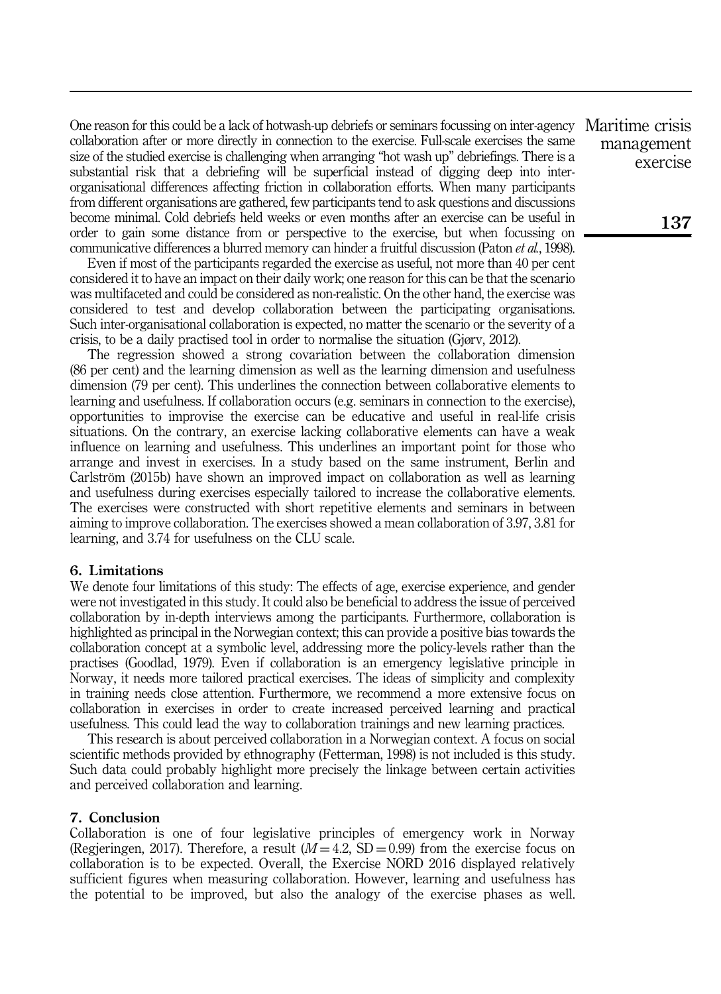One reason for this could be a lack of hotwash-up debriefs or seminars focussing on inter-agency Maritime crisis collaboration after or more directly in connection to the exercise. Full-scale exercises the same size of the studied exercise is challenging when arranging "hot wash up" debriefings. There is a substantial risk that a debriefing will be superficial instead of digging deep into interorganisational differences affecting friction in collaboration efforts. When many participants from different organisations are gathered, few participants tend to ask questions and discussions become minimal. Cold debriefs held weeks or even months after an exercise can be useful in order to gain some distance from or perspective to the exercise, but when focussing on communicative differences a blurred memory can hinder a fruitful discussion (Paton et al., 1998).

Even if most of the participants regarded the exercise as useful, not more than 40 per cent considered it to have an impact on their daily work; one reason for this can be that the scenario was multifaceted and could be considered as non-realistic. On the other hand, the exercise was considered to test and develop collaboration between the participating organisations. Such inter-organisational collaboration is expected, no matter the scenario or the severity of a crisis, to be a daily practised tool in order to normalise the situation (Gjørv, 2012).

The regression showed a strong covariation between the collaboration dimension (86 per cent) and the learning dimension as well as the learning dimension and usefulness dimension (79 per cent). This underlines the connection between collaborative elements to learning and usefulness. If collaboration occurs (e.g. seminars in connection to the exercise), opportunities to improvise the exercise can be educative and useful in real-life crisis situations. On the contrary, an exercise lacking collaborative elements can have a weak influence on learning and usefulness. This underlines an important point for those who arrange and invest in exercises. In a study based on the same instrument, Berlin and Carlström (2015b) have shown an improved impact on collaboration as well as learning and usefulness during exercises especially tailored to increase the collaborative elements. The exercises were constructed with short repetitive elements and seminars in between aiming to improve collaboration. The exercises showed a mean collaboration of 3.97, 3.81 for learning, and 3.74 for usefulness on the CLU scale.

#### 6. Limitations

We denote four limitations of this study: The effects of age, exercise experience, and gender were not investigated in this study. It could also be beneficial to address the issue of perceived collaboration by in-depth interviews among the participants. Furthermore, collaboration is highlighted as principal in the Norwegian context; this can provide a positive bias towards the collaboration concept at a symbolic level, addressing more the policy-levels rather than the practises (Goodlad, 1979). Even if collaboration is an emergency legislative principle in Norway, it needs more tailored practical exercises. The ideas of simplicity and complexity in training needs close attention. Furthermore, we recommend a more extensive focus on collaboration in exercises in order to create increased perceived learning and practical usefulness. This could lead the way to collaboration trainings and new learning practices.

This research is about perceived collaboration in a Norwegian context. A focus on social scientific methods provided by ethnography (Fetterman, 1998) is not included is this study. Such data could probably highlight more precisely the linkage between certain activities and perceived collaboration and learning.

#### 7. Conclusion

Collaboration is one of four legislative principles of emergency work in Norway (Regjeringen, 2017). Therefore, a result  $(M = 4.2, SD = 0.99)$  from the exercise focus on collaboration is to be expected. Overall, the Exercise NORD 2016 displayed relatively sufficient figures when measuring collaboration. However, learning and usefulness has the potential to be improved, but also the analogy of the exercise phases as well.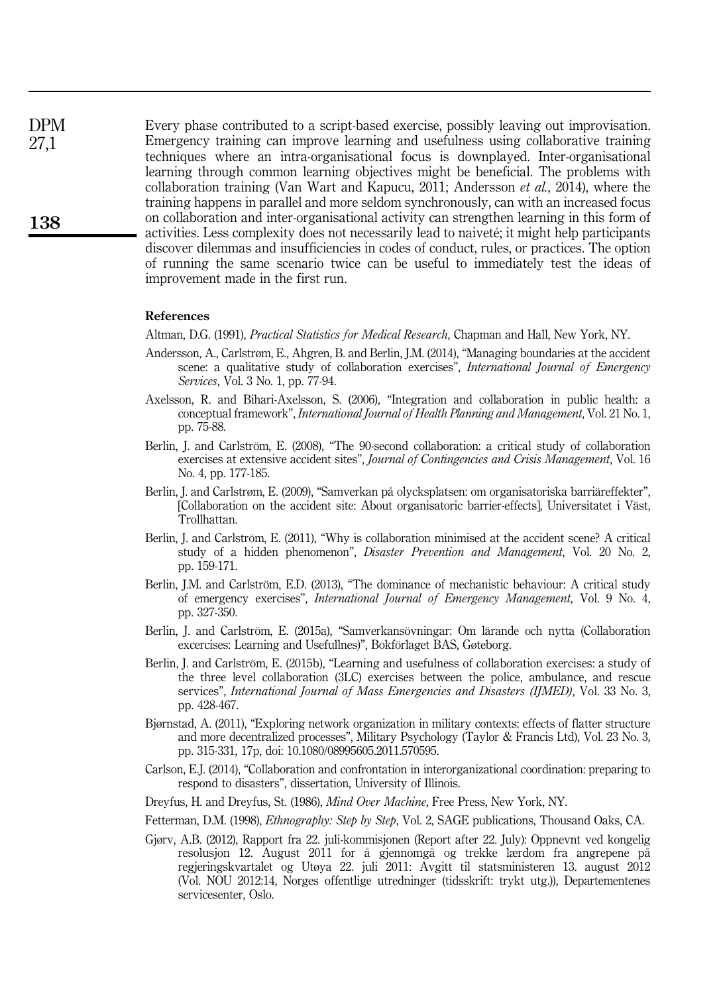Every phase contributed to a script-based exercise, possibly leaving out improvisation. Emergency training can improve learning and usefulness using collaborative training techniques where an intra-organisational focus is downplayed. Inter-organisational learning through common learning objectives might be beneficial. The problems with collaboration training (Van Wart and Kapucu, 2011; Andersson et al., 2014), where the training happens in parallel and more seldom synchronously, can with an increased focus on collaboration and inter-organisational activity can strengthen learning in this form of activities. Less complexity does not necessarily lead to naiveté; it might help participants discover dilemmas and insufficiencies in codes of conduct, rules, or practices. The option of running the same scenario twice can be useful to immediately test the ideas of improvement made in the first run.

#### References

Altman, D.G. (1991), Practical Statistics for Medical Research, Chapman and Hall, New York, NY.

- Andersson, A., Carlstrøm, E., Ahgren, B. and Berlin, J.M. (2014), "Managing boundaries at the accident scene: a qualitative study of collaboration exercises", *International Journal of Emergency* Services, Vol. 3 No. 1, pp. 77-94.
- Axelsson, R. and Bihari-Axelsson, S. (2006), "Integration and collaboration in public health: a conceptual framework", International Journal of Health Planning and Management, Vol. 21 No. 1, pp. 75-88.
- Berlin, J. and Carlström, E. (2008), "The 90-second collaboration: a critical study of collaboration exercises at extensive accident sites", *Journal of Contingencies and Crisis Management*, Vol. 16 No. 4, pp. 177-185.
- Berlin, J. and Carlstrøm, E. (2009), "Samverkan på olycksplatsen: om organisatoriska barriäreffekter", [Collaboration on the accident site: About organisatoric barrier-effects], Universitatet i Väst, Trollhattan.
- Berlin, J. and Carlström, E. (2011), "Why is collaboration minimised at the accident scene? A critical study of a hidden phenomenon", Disaster Prevention and Management, Vol. 20 No. 2, pp. 159-171.
- Berlin, J.M. and Carlström, E.D. (2013), "The dominance of mechanistic behaviour: A critical study of emergency exercises", International Journal of Emergency Management, Vol. 9 No. 4, pp. 327-350.
- Berlin, J. and Carlström, E. (2015a), "Samverkansövningar: Om lärande och nytta (Collaboration excercises: Learning and Usefullnes)", Bokförlaget BAS, Gøteborg.
- Berlin, J. and Carlström, E. (2015b), "Learning and usefulness of collaboration exercises: a study of the three level collaboration (3LC) exercises between the police, ambulance, and rescue services", International Journal of Mass Emergencies and Disasters (IJMED), Vol. 33 No. 3, pp. 428-467.
- Bjørnstad, A. (2011), "Exploring network organization in military contexts: effects of flatter structure and more decentralized processes", Military Psychology (Taylor & Francis Ltd), Vol. 23 No. 3, pp. 315-331, 17p, doi: 10.1080/08995605.2011.570595.
- Carlson, E.J. (2014), "Collaboration and confrontation in interorganizational coordination: preparing to respond to disasters", dissertation, University of Illinois.
- Dreyfus, H. and Dreyfus, St. (1986), Mind Over Machine, Free Press, New York, NY.
- Fetterman, D.M. (1998), Ethnography: Step by Step, Vol. 2, SAGE publications, Thousand Oaks, CA.
- Gjørv, A.B. (2012), Rapport fra 22. juli-kommisjonen (Report after 22. July): Oppnevnt ved kongelig resolusjon 12. August 2011 for å gjennomgå og trekke lærdom fra angrepene på regjeringskvartalet og Utøya 22. juli 2011: Avgitt til statsministeren 13. august 2012 (Vol. NOU 2012:14, Norges offentlige utredninger (tidsskrift: trykt utg.)), Departementenes servicesenter, Oslo.

DPM 27,1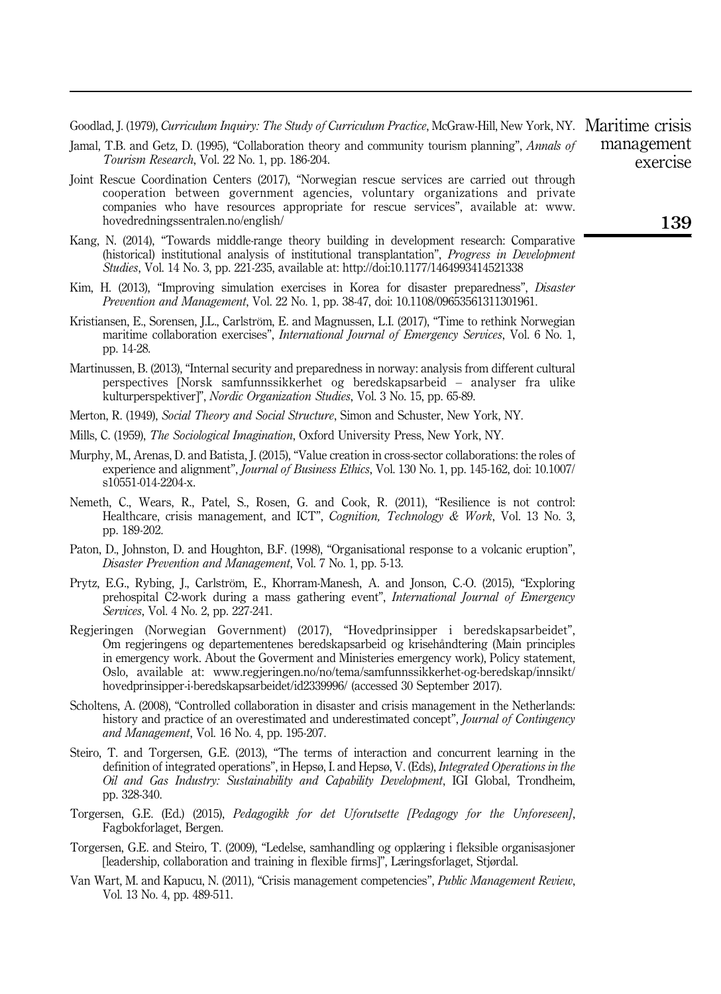Goodlad, J. (1979), *Curriculum Inquiry: The Study of Curriculum Practice*, McGraw-Hill, New York, NY. Maritime crisis

- Jamal, T.B. and Getz, D. (1995), "Collaboration theory and community tourism planning", Annals of Tourism Research, Vol. 22 No. 1, pp. 186-204.
- Joint Rescue Coordination Centers (2017), "Norwegian rescue services are carried out through cooperation between government agencies, voluntary organizations and private companies who have resources appropriate for rescue services", available at: [www.](www.hovedredningssentralen.no/english/) [hovedredningssentralen.no/english/](www.hovedredningssentralen.no/english/)
- Kang, N. (2014), "Towards middle-range theory building in development research: Comparative (historical) institutional analysis of institutional transplantation", *Progress in Development* Studies, Vol. 14 No. 3, pp. 221-235, available at:<http://doi:10.1177/1464993414521338>
- Kim, H. (2013), "Improving simulation exercises in Korea for disaster preparedness", *Disaster* Prevention and Management, Vol. 22 No. 1, pp. 38-47, doi: 10.1108/09653561311301961.
- Kristiansen, E., Sorensen, J.L., Carlström, E. and Magnussen, L.I. (2017), "Time to rethink Norwegian maritime collaboration exercises", *International Journal of Emergency Services*, Vol. 6 No. 1, pp. 14-28.
- Martinussen, B. (2013), "Internal security and preparedness in norway: analysis from different cultural perspectives [Norsk samfunnssikkerhet og beredskapsarbeid – analyser fra ulike kulturperspektiver]", *Nordic Organization Studies*, Vol. 3 No. 15, pp. 65-89.
- Merton, R. (1949), Social Theory and Social Structure, Simon and Schuster, New York, NY.
- Mills, C. (1959), The Sociological Imagination, Oxford University Press, New York, NY.
- Murphy, M., Arenas, D. and Batista, J. (2015), "Value creation in cross-sector collaborations: the roles of experience and alignment", Journal of Business Ethics, Vol. 130 No. 1, pp. 145-162, doi: 10.1007/ s10551-014-2204-x.
- Nemeth, C., Wears, R., Patel, S., Rosen, G. and Cook, R. (2011), "Resilience is not control: Healthcare, crisis management, and ICT", Cognition, Technology & Work, Vol. 13 No. 3, pp. 189-202.
- Paton, D., Johnston, D. and Houghton, B.F. (1998), "Organisational response to a volcanic eruption", Disaster Prevention and Management, Vol. 7 No. 1, pp. 5-13.
- Prytz, E.G., Rybing, J., Carlström, E., Khorram-Manesh, A. and Jonson, C.-O. (2015), "Exploring prehospital C2-work during a mass gathering event", International Journal of Emergency Services, Vol. 4 No. 2, pp. 227-241.
- Regjeringen (Norwegian Government) (2017), "Hovedprinsipper i beredskapsarbeidet", Om regjeringens og departementenes beredskapsarbeid og krisehåndtering (Main principles in emergency work. About the Goverment and Ministeries emergency work), Policy statement, Oslo, available at: [www.regjeringen.no/no/tema/samfunnssikkerhet-og-beredskap/innsikt/](www.regjeringen.no/no/tema/samfunnssikkerhet-og-beredskap/innsikt/hovedprinsipper-i-beredskapsarbeidet/id2339996/) [hovedprinsipper-i-beredskapsarbeidet/id2339996/](www.regjeringen.no/no/tema/samfunnssikkerhet-og-beredskap/innsikt/hovedprinsipper-i-beredskapsarbeidet/id2339996/) (accessed 30 September 2017).
- Scholtens, A. (2008), "Controlled collaboration in disaster and crisis management in the Netherlands: history and practice of an overestimated and underestimated concept", Journal of Contingency and Management, Vol. 16 No. 4, pp. 195-207.
- Steiro, T. and Torgersen, G.E. (2013), "The terms of interaction and concurrent learning in the definition of integrated operations", in Hepsø, I. and Hepsø, V. (Eds), *Integrated Operations in the* Oil and Gas Industry: Sustainability and Capability Development, IGI Global, Trondheim, pp. 328-340.
- Torgersen, G.E. (Ed.) (2015), Pedagogikk for det Uforutsette [Pedagogy for the Unforeseen], Fagbokforlaget, Bergen.
- Torgersen, G.E. and Steiro, T. (2009), "Ledelse, samhandling og opplæring i fleksible organisasjoner [leadership, collaboration and training in flexible firms]", Læringsforlaget, Stjørdal.
- Van Wart, M. and Kapucu, N. (2011), "Crisis management competencies", Public Management Review, Vol. 13 No. 4, pp. 489-511.

139